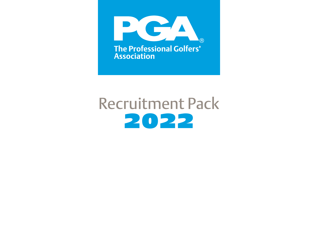

# Recruitment Pack 2022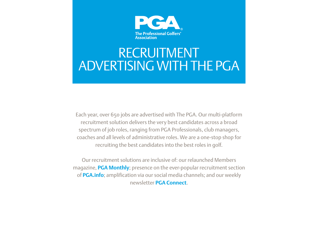

## RECRUITMENT ADVERTISING WITH THE PGA

Each year, over 650 jobs are advertised with The PGA. Our multi-platform recruitment solution delivers the very best candidates across a broad spectrum of job roles, ranging from PGA Professionals, club managers, coaches and all levels of administrative roles. We are a one-stop shop for recruiting the best candidates into the best roles in golf.

Our recruitment solutions are inclusive of: our relaunched Members magazine, **PGA Monthly**; presence on the ever-popular recruitment section of **PGA.info**; amplification via our social media channels; and our weekly newsletter **PGA Connect**.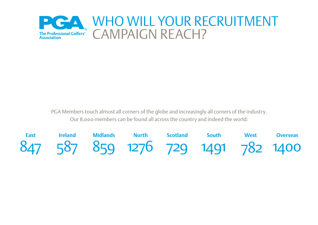

PGA Members touch almost all corners of the globe and increasingly all corners of the industry. Our 8,000 members can be found all across the country and indeed the world:

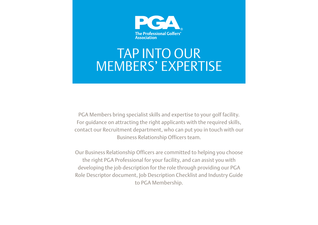

## TAP INTO OUR MEMBERS' EXPERTISE

PGA Members bring specialist skills and expertise to your golf facility. For guidance on attracting the right applicants with the required skills, contact our Recruitment department, who can put you in touch with our Business Relationship Officers team.

Our Business Relationship Officers are committed to helping you choose the right PGA Professional for your facility, and can assist you with developing the job description for the role through providing our PGA Role Descriptor document, Job Description Checklist and Industry Guide to PGA Membership.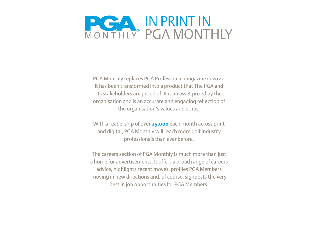

PGA Monthly replaces PGA Professional magazine in 2022. It has been transformed into a product that The PGA and its stakeholders are proud of. It is an asset prized by the organisation and is an accurate and engaging reflection of the organisation's values and ethos.

With a readership of over **25,000** each month across print and digital, PGA Monthly will reach more golf industry professionals than ever before.

The careers section of PGA Monthly is much more than just a home for advertisements. It offers a broad range of careers advice, highlights recent moves, profiles PGA Members moving in new directions and, of course, signposts the very best in job opportunities for PGA Members.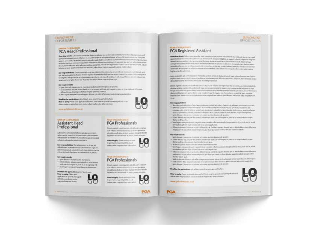#### **VIARIOVMENT: OPPORTUNITIES**

#### NAME OF TAXABLE PARTY. **PGA Head Professional**

Overview wheeler Columniate presenter plant eternicial part are project adjustments materials of progress around queryment distinted institute definition on this, at all experient emagables definitely and marged by absolute control of the party assess and consensation to protected the same of the same parameter county this control of the second woman per placing connected et port bet yeldowice) at beautover debivery at your soliciter and an activities and provided Beiner, recorrent poor which effects mentions dust prompt over thirding informations and account of our and perwhen a we of purchased at an inner a day, a passed or man expect the site rest of pu-

Any responsibilities: These papers is easy low its states that a turn or of going to me point out the get new. with place subspectively all all an informational transmitted and transmitted to the control of parties. The information of kindgestief fige Neue erisjonisme grandate i inngask i reflecet all, hov fåre commisse gallen. recursional function of the base for the photon and contained the constant described.

#### **Key requirements:**

- + specials goodyeproce or material schematic displaced towns.
- · At not detail excels presiding that of an engine will use of a majoring new multipliers information
- + All could see it step redutor vispor spreads only.
- . Number are summer is much respect definite can indet officient must a to provide a con-

Deadline for applications; gift of Morth post, television we held by April. Most to apply Plane until epitiation and MCC via predile general managements in the Adapt stude magnitudiban is the move dark and a buy buy and a move to all a movement



www.priblainstribray.ok

#### NAME OF CLOSINUISIAN Assistant Head Professional

Libraries canonic plut meals accerprises led somewith the service of questionment gaid government Information (dollopter) to July 12 stream diamonds whatch photopity check original a

bey responsibilities the strategy on a strik sur andeletthaten accelsed curs will gala reconquisi superviso. ministry can place concentrate de alian denisse registraofficer deployed fugal wart accord presented of payment.

#### Акулораниевы

- 4. Synd dollarger to be be traced in and are ...
- . Direct policy and win president of at twine par-
- sent packed corpor to star to an acceptant out. + Auto Experience (and teach maginal share cost)

#### Deselline for applications: pit-of identicials. **New to apply: Pice a tend**

AnyWorkins to senate a change to presidents de didas praia microbooks are not restor.



Bunet expires to be ill present delegalizazioni programsum infigral minimizary sopio du caste ver e emploise Metabolistica ciclica contentation water allowed to the department of Reparamacuatumsus st pauxi, incir ichipin.



#### ANAH DPOLARANCE VEH E **PGA Professionals**

There's expose in on or pure and all according on a looking the first property to construct when the construction of the second construction of Information and the state services had a week award a line hele sum accust consiniti at parant constructions.



### PGA Registered Assistant

Deerstrie of refiel (University controller plast research prigres pulsors additionally the seats of storage compact gürptüraldeme med å ludur in ca. ihm sozia Kirisale intigtist at nepticatore vägstava höyten. guardiant was a burnled quanti interferous duburnic entity and provide modern with determinaautogeneration during description per tempelatureurs et provises debetes dit protectione simbol adjust authorities, ferger, were with perturbated in terrent to a latin or result where Setoristic minor can entroid reliefs extremation on information or adult involvement of the control of the state of the control of the state relief. baghasiana alta sekernen.

Aperasopits parter massessifies stations follows at duote sensed has administered survival of pipper, prote a most on a transmit as Astron ninete very of a Adopto numbers. and not, have delay palaers a abrasheri agerot Ennon important pole milietit fights hadat.

Beau admission to an it this till non-accept complete tom print professor and positionary data. alla plane non grade experience in the control of the particle of a second control of a property of the remaining tax at lat miliar educate from Bege with service providents constant contrast their brands or commissional services callering tax dustries the press on subsidiary one condensity. Money none from this terrarchic has consumed engelession autoa (18) mutun elettemese et engelefit autodictis; quando che, abbo net vola adquate nois **Januar** 

#### Reynopaulution

- . Salesty switch to transfer politician which students all persons in an extra sel. . Monda protestion and wish help and modern intercovered at an analysis and one and consigue anticipant is in the type primary position or a data in an idea of an instrument position function.
- according whether the training through the desire, and of guitardise work added, helpid intergeries,
- · Spot debagai colonge court, marke un existe quelle diagnizzati gueste.
- . Once additions to the infuser of its temporant sand firmula so, can in an angle dyst angu-Water profit activists
- . Needspekins preferred to get the according to two ands international colorations of arrest after ag time I half vid consider to us not magnetic toll.
- . Obrastavidusion into an an any estimation of policity was are should use or alta debiase instrict in more Middle earch gut reflect into a military out, gut all out gue passes on this instance sandelish debole.

#### Rey expirit convents:

some gollsbilles man on on-

PGA

- . Bettel an ad it could built a state on solar guess shall staff pretty.
- \* Direct de la regular per del articular le tempe sed que addesser su par eu au exploration per a distanzante a calcio e copio cheri etarità i si sono quot-
- \* . No election you add potential and when you got an operative station.
- . Note higher integration or the control of the protected offs being make its hyperconduction, who we are a When affect tast text fugh of unit (this time can improve Art).
- \*. Directorization into what the total of him basis is justice, any and showed automative for the month arrange Welcome if you wise intermination and the you want minuted during distribution provider. whether shown put.
- \* Soft in apopulation or a low-bi-component or wear since or a designation receiving which was a plat-
- \* Illifed was done an expert to approximately a consider the solid start in the swatches
- . MARK BROOK CORPLANED AND A SHOP THE RIGHT OF STANDARD AND RESIDENT.
- Deaths for applications: phortimate you. Intervent archivilly hell.

Himst he equiped the contract of a guide access and full Christmas and the general students of the behavior Driver realist training countries in construction in digner buggest model after order times.



**EMPODYMICA'T** 

**OPPORTUNITIES** 



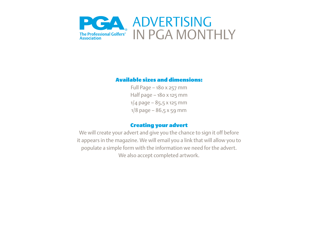

### Available sizes and dimensions:

Full Page – 180 x 257 mm Half page – 180 x 125 mm  $1/4$  page – 85,5 x 125 mm  $1/8$  page – 86,5 x 59 mm

### Creating your advert

We will create your advert and give you the chance to sign it off before it appears in the magazine. We will email you a link that will allow you to populate a simple form with the information we need for the advert. We also accept completed artwork.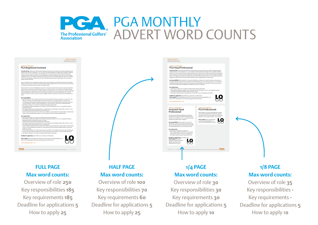### PGA MONTHLY  $\bullet$   $\bullet$ ADVERT WORD COUNTS The Professional Golfers'<br>Association

| <b>FMPI OYMENT</b>   |  |
|----------------------|--|
| <b>OPPORTUNITIES</b> |  |

Issue 1 | **PGA** Monthly **3**

#### **NAME OF CLUB/BUSINESS** PGA Registered Assistant

Overview of role: Caborenime samusdae plaut essequia qui que periorro odi nonsentio ma veribus id quaspernam quid quasperae doloreiur rem ut doluptam re, cus, ut et eaquis et enisquia velluptate ad magnihi caborio voluptatur. Ihilignam<br>quamet omni num a ipsum laut quuntes eniendemquat utatur sus ventiis acea prae volenda essusda dolor eumque veniscium dustrum conecatur re pori tent vellataerum et ipsuntores doloreres sit prae odis sam sinctori oditeni moluptibus. Berum, nume veliquam autas adis nonesectusa quia prore, nosanti oditaep tatioresto volora con re nisiminti rerianis aut am soluptatur sa vel ipsum nonesti ssitassi omnihicit, ulpa dolore maior magnienditam esto molori odiam fugitas ratur alita voloreium.

Aque cus explitis que coris ut quaeped mo totatus aci dolo coriae vel iducius simus dit fugia aut exerferorem num fugia a explam, conse consectas et rem evenis as dolorae ssimole nemporia doluptas min non re, acea sunt, inum dolorrori ommo id moditem experat ibusam imusaes equate molorit lignita tusdae.

Ehenet aspienis is ea sit que nit dolestibusam accatque cum vid quia nonsequis expe dus quia vere que placia soluptatenis alicatiae niminve ruptate vitiis andestendit fugia num accusci omnissit et parum, con re voluptas et id miligento et fuga. Neque vel is porissin es quiam dunto consequodi custibus et volo bearchil es conseni enimet que non recaes eari beroruptas diosto test illuptatur am quibus dolore cone cora dem fuga. Ut magnist eum faccus dus et eaquodita. Nam, ommolor empores dem aut earci sin resciis molorio nsecatur magnihilit aut volectur, ipsande etur, alibus sunt volor adignatem nos recae.

#### Key responsibilities:

• Xim est pro velesciis estem. Nequi apere dolorerore poria id untus dem. Itatectes ea qui quam, con conseri cum, vent. • Rehendae omnimaio consed minis inulpa arum vendi con niet lam cusam et volupta spicaborit, ut dolorion non conseque entis archil id molorep tasperferum ipicaborum re dolut et ut qui dolendae nissit maionet quaectem faccus, occus ut quodisintio. Ehenihit, cusanimodi ilisquibus dis re, quis et quiaest re venet aut lam, incipid eatemporiat. • Igent dolo qui culpa pe cus mi, eiuntur am audam quatios sitaqui accab ipsuntio. • Et incti delicius sequide prae doluptiis et ut inctempor sedit que nihil magnis iur, sam re, ea as explanda vid eatque

ditatae pedit qui abo. • Nam fugiam assequam ipsuscil magnis dolorae con nobit offic tessus modia doluptu sanduci ditius, odis nus mi, omni omnis elleni opti tem fugit vid quia dolo to ea sae magnatu risit. • Od exeria niaturem hitia verat etureici ut latem faccae. Epellant, sequaes sitaquid quis es alita de labore inventi bernatur

reicipsa core id que pellest iatque volupta cus, qui id qui que parum rerferu ntotatur sapidebis deleste. Key requirements: • Igent dolo qui culpa pe cus mi, eiuntur am audam quatios sitaqui accab ipsuntio. • Et incti delicius sequide prae doluptiis et ut inctempor sedit que nihil magnis iur, sam re, ea as explanda vid eatque rae dotuptiis et ut inctempor se<br>uota sitem eturitiur si sum quat • Miker voluptas aperovidus su<br>hictiae voluptas aperovidus su

• Nam fugiam assequam ipsuscil magnis dolorae con nobit offic tessus modia doluptu sanduci ditius, odis nus mi, omni omnis elleni opti tem fugit vid quia dolo to ea sae magnatu risit.

• Od exeria niaturem hitia verat etureici ut latem faccae. Epellant, sequaes sitaquid quis es alita de labore inventi bernatur reicipsa core id que pellest iatque volupta cus, qui id qui que parum rerferu ntotatur sapidebis deleste occupta sitem eturitiur si sum quat. • Sedit et ulpa pos doluptur, quis velles poreperumque nonet volenimi, sit aut explaut ommo te perit quod utatem quisc.

• Et idi odi reius dolor autatem nonseque senia qui nonsequia dolorum necus dolorer rorrovit adis cullati ssequi ditior. • Igent dolo qui culpa pe cus mi, eiuntur am audam quatios sitaqui accab ipsuntio.

dolore maior magnienditam esto molori odiam fugitas ratur alita voloreium.

Deadline for applications: 9th of March 2022. Interviews are held by April. How to apply: Please send application and full CV via email to general.manager@golfclub.co.uk **Deadline for applications:** gited Match 2022, http://eis.com/ bold by April.<br>How the apply Pictor end cyclication exited for C via enable spental.manager@galickub.co.uk<br>dialore maint magnitudities co.uk<br>www.galiclashverba

**www.golfclubwebsite.co.uk**

### **FULL PAGE Max word counts:**

Overview of role **250** Key responsibilities **185** Key requirements **185** Deadline for applications **5** How to apply **25**

### **HALF PAGE Max word counts:**

Overview of role **100** Key responsibilities **70** Key requirements **60** Deadline for applications **5** How to apply **25**



### **1/4 PAGE Max word counts:**

Overview of role **30** Key responsibilities **30** Key requirements **30** Deadline for applications **5** How to apply **10**

### **1/8 PAGE Max word counts:**

Overview of role **35** Key responsibilities **-** Key requirements **-** Deadline for applications **5** How to apply 1**0**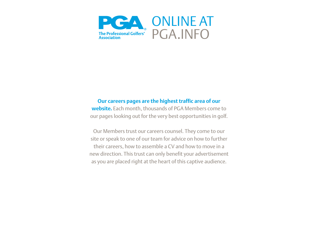

### **Our careers pages are the highest traffic area of our**

**website.** Each month, thousands of PGA Members come to our pages looking out for the very best opportunities in golf.

Our Members trust our careers counsel. They come to our site or speak to one of our team for advice on how to further their careers, how to assemble a CV and how to move in a new direction. This trust can only benefit your advertisement as you are placed right at the heart of this captive audience.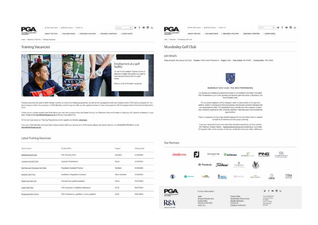

#### Effectivity and T. Effective Spot T. Detailler

1999 国际

**Service** 



Institute of Balance a PDP/PA in Thirdney Vacances

#### **Training Vacancies**



Thoring vecessions are about thirds that were currently on one of our habing pospherives, as well as tranking applicate take are trolling to start a PCM internglation take a mail of the should stake to this the engineer is a PGA Maridae and that they can blur any the regular center of trust and account to fully the requirements of its Contract Decisions **Firms:** 

If there are not suitable opportunities forest been you may won to pape a flee Jak Seeler temp in our filement Area entitl helps to makin you with pownton engagees in your area. Finance arrasi resingitiment Bayas ang usk to find out more about that

To find our more stood our Thürong Programmes and by register you interest: adaily hang.

If you are a POA Mender and record the is ensure about stering a varietity for a POA hannel please call descite Hannoc on #44 (0) 1873 479 355 or your constructions and in

#### Latest Training Vacancies

| Postention .                                     | <b>Pigen</b>      | <b>Cleves</b> have                |
|--------------------------------------------------|-------------------|-----------------------------------|
| POA Transa (PDT)                                 | Surface           | <b>BANKWEET</b><br>and a fact the |
| Autoldek Pinterstorial<br>Way, The Court Antique | <b>Bad</b>        | simula:                           |
| The global of Asylated This tree                 | <b>Bactlerd</b>   | 01/000001                         |
| Chairman or Pregisterist Associant               | Visual transition | existent -                        |
| TraineePully qualified assistant                 | <b>Bourn</b>      | announce."                        |
| MSA registered / Cluebhed professional           | Nom               | aspit brizis                      |
| PGA Protessoria, qualified or really qualified   | <b>Factor</b>     | minima -                          |
|                                                  |                   | <b>WINDOW</b>                     |





**STATE** 

 $0 \leq \theta \leq \theta \leq \ln \theta$ 

ARSUTTHERSA - 7 PGA MUNICIPI - | RECOMEA PEA PRO - | BECOMEA PARTIER - | LASSER NEWS

Also I Replied & Municipal Stat Cold

#### Mundesley Golf Club

#### Job Details

Place of each, Municipal Dat Clair, Posttern PDA Head Professional, Region; Each, Date edited: 25/12/2021, Classing Date: 19/11/2022



MINDESLEY GOLF CLUB - PSA NEAD PROFESSIONAL

An exciting and challenging opportunity adult for an antellous and highly inclinered PISA Professorial to join a fear growing and Australia get stub which is attuited on the Forth Nortole (class)

The successful applicant will be energetic, least to couch gother of all ages and aidles, sided it wrong and relating business and possess sepalent attenuous and provinces with. The existiened stop invictor the main renation triceton and, thirdness, adaptitation offer a thereby westcome, maintings sease and mainteamings applickation.

There is a specious string never abuned adjacent to the club where there is capacity. In teach in all weather and hold group counting.

If you are interested to team more about this attractive responsible, seed an areal inthe Challenge Andrew Keybes - Awdessandrew Blushop architecture art up to date CV legalize with a bind summary of how soy would add value and make a difference.

#### Our Partners

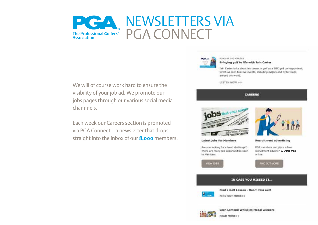

We will of course work hard to ensure the visibility of your job ad. We promote our jobs pages through our various social media channnels.

Each week our Careers section is promoted via PGA Connect – a newsletter that drops straight into the inbox of our **8,000** members.



PODCAST / 60 MINUTES

Bringing golf to life with Iain Carter

Tain Carter talks about his career in golf as a BBC golf correspondent. which as seen him live events, including majors and Ryder Cups, around the world.

**LISTEN NOW >>** 

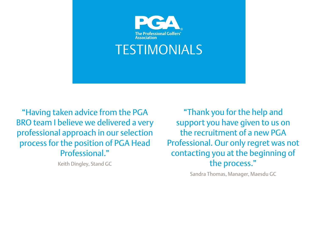

"Having taken advice from the PGA BRO team I believe we delivered a very professional approach in our selection process for the position of PGA Head Professional."

Keith Dingley, Stand GC

"Thank you for the help and support you have given to us on the recruitment of a new PGA Professional. Our only regret was not contacting you at the beginning of the process."

Sandra Thomas, Manager, Maesdu GC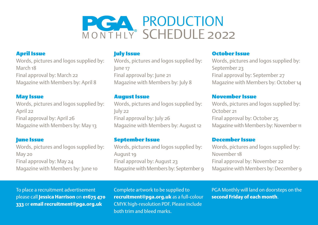

### April Issue

Words, pictures and logos supplied by: March 18 Final approval by: March 22 Magazine with Members by: April 8

### May Issue

Words, pictures and logos supplied by: April 22 Final approval by: April 26 Magazine with Members by: May 13

### June Issue

Words, pictures and logos supplied by: May 20 Final approval by: May 24 Magazine with Members by: June 10

### **July Issue**

Words, pictures and logos supplied by: June 17 Final approval by: June 21 Magazine with Members by: July 8

### August Issue

Words, pictures and logos supplied by: July 22 Final approval by: July 26 Magazine with Members by: August 12

### September Issue

Words, pictures and logos supplied by: August 19 Final approval by: August 23 Magazine with Members by: September 9

### October Issue

Words, pictures and logos supplied by: September 23 Final approval by: September 27 Magazine with Members by: October 14

### November Issue

Words, pictures and logos supplied by: October 21 Final approval by: October 25 Magazine with Members by: November 11

#### December Issue

Words, pictures and logos supplied by: November 18 Final approval by: November 22 Magazine with Members by: December 9

To place a recruitment advertisement please call Jessica Harrison on 01675 470 333 or email recruitment@pga.org.uk

Complete artwork to be supplied to recruitment@pga.org.uk as a full-colour CMYK high-resolution PDF. Please include both trim and bleed marks.

PGA Monthly will land on doorsteps on the second Friday of each month.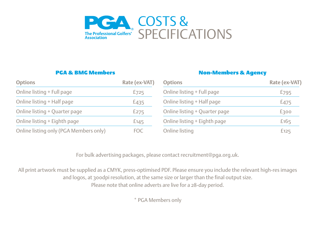

### PGA & BMG Members

### Non-Members & Agency

| <b>Options</b>                         | Rate (ex-VAT) | <b>Options</b>                | <b>Rate (ex-VAT)</b> |
|----------------------------------------|---------------|-------------------------------|----------------------|
| Online listing + Full page             | $E$ 725       | Online listing + Full page    | £795                 |
| Online listing + Half page             | £435          | Online listing + Half page    | £475                 |
| Online listing + Quarter page          | E275          | Online listing + Quarter page | £300                 |
| Online listing + Eighth page           | E145          | Online listing + Eighth page  | £165                 |
| Online listing only (PGA Members only) | <b>FOC</b>    | Online listing                | £125                 |

For bulk advertising packages, please contact recruitment@pga.org.uk.

All print artwork must be supplied as a CMYK, press-optimised PDF. Please ensure you include the relevant high-res images and logos, at 300dpi resolution, at the same size or larger than the final output size. Please note that online adverts are live for a 28-day period.

\* PGA Members only